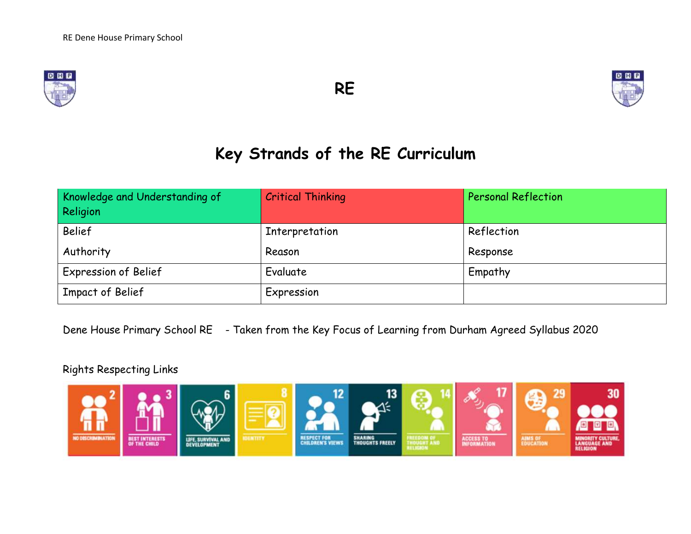





# **Key Strands of the RE Curriculum**

| Knowledge and Understanding of<br>Religion | <b>Critical Thinking</b> | <b>Personal Reflection</b> |
|--------------------------------------------|--------------------------|----------------------------|
| <b>Belief</b>                              | Interpretation           | Reflection                 |
| Authority                                  | Reason                   | Response                   |
| <b>Expression of Belief</b>                | Evaluate                 | Empathy                    |
| Impact of Belief                           | Expression               |                            |

Dene House Primary School RE - Taken from the Key Focus of Learning from Durham Agreed Syllabus 2020

### Rights Respecting Links

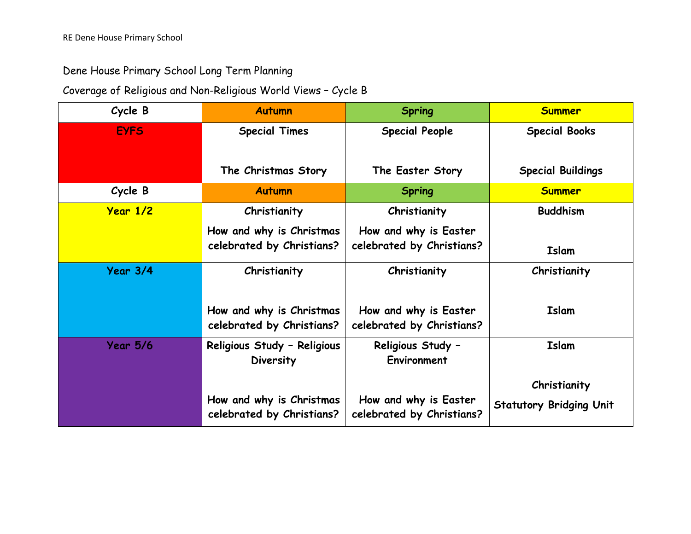## Dene House Primary School Long Term Planning

## Coverage of Religious and Non-Religious World Views – Cycle B

| Cycle B         | <b>Autumn</b>                                         | <b>Spring</b>                                      | <b>Summer</b>                  |
|-----------------|-------------------------------------------------------|----------------------------------------------------|--------------------------------|
| <b>EYFS</b>     | <b>Special Times</b>                                  | <b>Special People</b>                              | <b>Special Books</b>           |
|                 | The Christmas Story                                   | The Easter Story                                   | <b>Special Buildings</b>       |
| Cycle B         | <b>Autumn</b>                                         | <b>Spring</b>                                      | <b>Summer</b>                  |
| <b>Year 1/2</b> | Christianity                                          | Christianity                                       | <b>Buddhism</b>                |
|                 | How and why is Christmas<br>celebrated by Christians? | How and why is Easter<br>celebrated by Christians? | <b>Islam</b>                   |
| Year 3/4        | Christianity                                          | Christianity                                       | Christianity                   |
|                 | How and why is Christmas<br>celebrated by Christians? | How and why is Easter<br>celebrated by Christians? | <b>Islam</b>                   |
| <b>Year 5/6</b> | Religious Study - Religious<br>Diversity              | Religious Study -<br>Environment                   | <b>Islam</b>                   |
|                 |                                                       |                                                    | Christianity                   |
|                 | How and why is Christmas<br>celebrated by Christians? | How and why is Easter<br>celebrated by Christians? | <b>Statutory Bridging Unit</b> |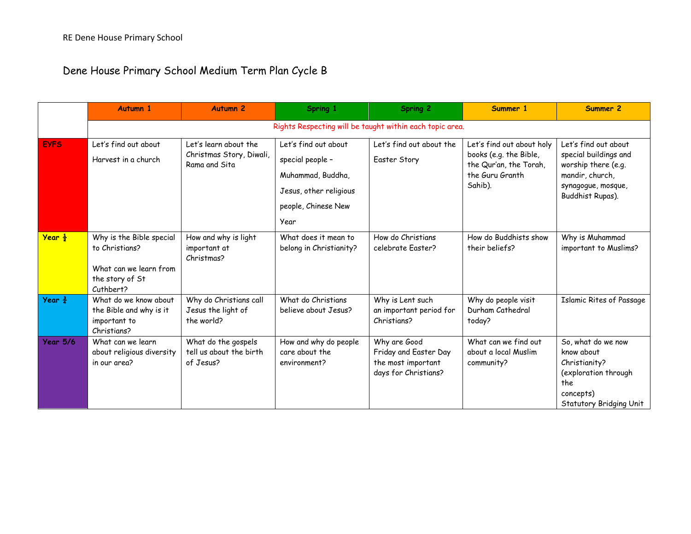Dene House Primary School Medium Term Plan Cycle B

|                    | <b>Autumn 1</b>                                                                                      | <b>Autumn 2</b>                                                    | Spring 1                                                                                                               | <b>Spring 2</b>                                                                     | Summer 1                                                                                                    | Summer 2                                                                                                                          |
|--------------------|------------------------------------------------------------------------------------------------------|--------------------------------------------------------------------|------------------------------------------------------------------------------------------------------------------------|-------------------------------------------------------------------------------------|-------------------------------------------------------------------------------------------------------------|-----------------------------------------------------------------------------------------------------------------------------------|
|                    |                                                                                                      |                                                                    |                                                                                                                        | Rights Respecting will be taught within each topic area.                            |                                                                                                             |                                                                                                                                   |
| <b>EYFS</b>        | Let's find out about<br>Harvest in a church                                                          | Let's learn about the<br>Christmas Story, Diwali,<br>Rama and Sita | Let's find out about<br>special people -<br>Muhammad, Buddha,<br>Jesus, other religious<br>people, Chinese New<br>Year | Let's find out about the<br>Easter Story                                            | Let's find out about holy<br>books (e.g. the Bible,<br>the Qur'an, the Torah,<br>the Guru Granth<br>Sahib). | Let's find out about<br>special buildings and<br>worship there (e.g.<br>mandir, church,<br>synagogue, mosque,<br>Buddhist Rupas). |
| Year $\frac{1}{2}$ | Why is the Bible special<br>to Christians?<br>What can we learn from<br>the story of St<br>Cuthbert? | How and why is light<br>important at<br>Christmas?                 | What does it mean to<br>belong in Christianity?                                                                        | How do Christians<br>celebrate Easter?                                              | How do Buddhists show<br>their beliefs?                                                                     | Why is Muhammad<br>important to Muslims?                                                                                          |
| Year $\frac{3}{4}$ | What do we know about<br>the Bible and why is it<br>important to<br>Christians?                      | Why do Christians call<br>Jesus the light of<br>the world?         | What do Christians<br>believe about Jesus?                                                                             | Why is Lent such<br>an important period for<br>Christians?                          | Why do people visit<br>Durham Cathedral<br>today?                                                           | <b>Islamic Rites of Passage</b>                                                                                                   |
| <b>Year 5/6</b>    | What can we learn<br>about religious diversity<br>in our area?                                       | What do the gospels<br>tell us about the birth<br>of Jesus?        | How and why do people<br>care about the<br>environment?                                                                | Why are Good<br>Friday and Easter Day<br>the most important<br>days for Christians? | What can we find out<br>about a local Muslim<br>community?                                                  | So, what do we now<br>know about<br>Christianity?<br>(exploration through<br>the<br>concepts)<br>Statutory Bridging Unit          |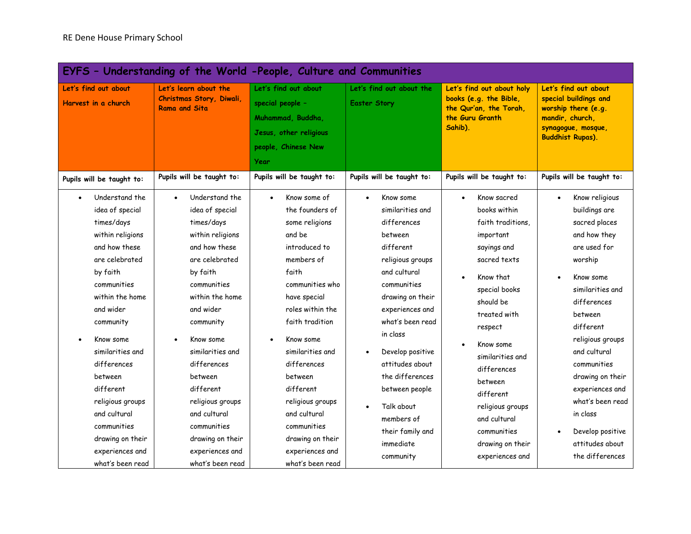|                                                                                                                                                                                                                                                                                                                                                                      | EYFS - Understanding of the World -People, Culture and Communities                                                                                                                                                                                                                                                                                                                             |                                                                                                                                                                                                                                                                                                                                                                                  |                                                                                                                                                                                                                                                                                                                                                                   |                                                                                                                                                                                                                                                                                                                                                   |                                                                                                                                                                                                                                                                                                                                                                                   |
|----------------------------------------------------------------------------------------------------------------------------------------------------------------------------------------------------------------------------------------------------------------------------------------------------------------------------------------------------------------------|------------------------------------------------------------------------------------------------------------------------------------------------------------------------------------------------------------------------------------------------------------------------------------------------------------------------------------------------------------------------------------------------|----------------------------------------------------------------------------------------------------------------------------------------------------------------------------------------------------------------------------------------------------------------------------------------------------------------------------------------------------------------------------------|-------------------------------------------------------------------------------------------------------------------------------------------------------------------------------------------------------------------------------------------------------------------------------------------------------------------------------------------------------------------|---------------------------------------------------------------------------------------------------------------------------------------------------------------------------------------------------------------------------------------------------------------------------------------------------------------------------------------------------|-----------------------------------------------------------------------------------------------------------------------------------------------------------------------------------------------------------------------------------------------------------------------------------------------------------------------------------------------------------------------------------|
| Let's find out about<br>Harvest in a church                                                                                                                                                                                                                                                                                                                          | Let's learn about the<br>Christmas Story, Diwali,<br><b>Rama and Sita</b>                                                                                                                                                                                                                                                                                                                      | Let's find out about<br>special people -<br>Muhammad, Buddha,<br>Jesus, other religious<br>people, Chinese New<br>Year                                                                                                                                                                                                                                                           | Let's find out about the<br><b>Easter Story</b>                                                                                                                                                                                                                                                                                                                   | Let's find out about holy<br>books (e.g. the Bible,<br>the Qur'an, the Torah,<br>the Guru Granth<br>Sahib).                                                                                                                                                                                                                                       | Let's find out about<br>special buildings and<br>worship there (e.g.<br>mandir, church,<br>synagogue, mosque,<br><b>Buddhist Rupas).</b>                                                                                                                                                                                                                                          |
| Pupils will be taught to:                                                                                                                                                                                                                                                                                                                                            | Pupils will be taught to:                                                                                                                                                                                                                                                                                                                                                                      | Pupils will be taught to:                                                                                                                                                                                                                                                                                                                                                        | Pupils will be taught to:                                                                                                                                                                                                                                                                                                                                         | Pupils will be taught to:                                                                                                                                                                                                                                                                                                                         | Pupils will be taught to:                                                                                                                                                                                                                                                                                                                                                         |
| Understand the<br>idea of special<br>times/days<br>within religions<br>and how these<br>are celebrated<br>by faith<br>communities<br>within the home<br>and wider<br>community<br>Know some<br>similarities and<br>differences<br>between<br>different<br>religious groups<br>and cultural<br>communities<br>drawing on their<br>experiences and<br>what's been read | Understand the<br>$\bullet$<br>idea of special<br>times/days<br>within religions<br>and how these<br>are celebrated<br>by faith<br>communities<br>within the home<br>and wider<br>community<br>Know some<br>$\bullet$<br>similarities and<br>differences<br>between<br>different<br>religious groups<br>and cultural<br>communities<br>drawing on their<br>experiences and<br>what's been read | Know some of<br>$\bullet$<br>the founders of<br>some religions<br>and be<br>introduced to<br>members of<br>faith<br>communities who<br>have special<br>roles within the<br>faith tradition<br>Know some<br>similarities and<br>differences<br>between<br>different<br>religious groups<br>and cultural<br>communities<br>drawing on their<br>experiences and<br>what's been read | Know some<br>$\bullet$<br>similarities and<br>differences<br>between<br>different<br>religious groups<br>and cultural<br>communities<br>drawing on their<br>experiences and<br>what's been read<br>in class<br>Develop positive<br>attitudes about<br>the differences<br>between people<br>Talk about<br>members of<br>their family and<br>immediate<br>community | Know sacred<br>$\bullet$<br>books within<br>faith traditions,<br>important<br>sayings and<br>sacred texts<br>Know that<br>special books<br>should be<br>treated with<br>respect<br>Know some<br>similarities and<br>differences<br>between<br>different<br>religious groups<br>and cultural<br>communities<br>drawing on their<br>experiences and | Know religious<br>$\bullet$<br>buildings are<br>sacred places<br>and how they<br>are used for<br>worship<br>Know some<br>similarities and<br>differences<br>between<br>different<br>religious groups<br>and cultural<br>communities<br>drawing on their<br>experiences and<br>what's been read<br>in class<br>Develop positive<br>$\bullet$<br>attitudes about<br>the differences |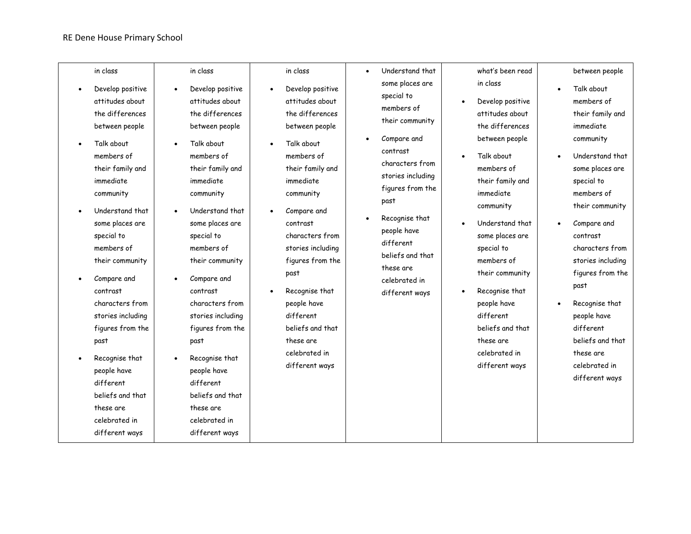#### RE Dene House Primary School

| in class<br>Develop positive<br>attitudes about<br>the differences<br>between people<br>Talk about<br>members of<br>their family and<br>immediate<br>community<br>Understand that<br>some places are<br>special to<br>members of<br>their community<br>Compare and<br>contrast<br>characters from<br>stories including<br>figures from the<br>past<br>Recognise that<br>people have<br>different<br>beliefs and that<br>these are<br>celebrated in<br>different ways | in class<br>Develop positive<br>$\bullet$<br>attitudes about<br>the differences<br>between people<br>Talk about<br>$\bullet$<br>members of<br>their family and<br>immediate<br>community<br>Understand that<br>some places are<br>special to<br>members of<br>their community<br>Compare and<br>$\bullet$<br>contrast<br>characters from<br>stories including<br>figures from the<br>past<br>Recognise that<br>$\bullet$<br>people have<br>different<br>beliefs and that<br>these are<br>celebrated in<br>different ways | in class<br>Develop positive<br>attitudes about<br>the differences<br>between people<br>Talk about<br>members of<br>their family and<br>immediate<br>community<br>Compare and<br>contrast<br>characters from<br>stories including<br>figures from the<br>past<br>Recognise that<br>people have<br>different<br>beliefs and that<br>these are<br>celebrated in<br>different ways | Understand that<br>$\bullet$<br>some places are<br>special to<br>members of<br>their community<br>Compare and<br>$\bullet$<br>contrast<br>characters from<br>stories including<br>figures from the<br>past<br>Recognise that<br>$\bullet$<br>people have<br>different<br>beliefs and that<br>these are<br>celebrated in<br>different ways | what's been read<br>in class<br>Develop positive<br>attitudes about<br>the differences<br>between people<br>Talk about<br>members of<br>their family and<br>immediate<br>community<br>Understand that<br>some places are<br>special to<br>members of<br>their community<br>Recognise that<br>people have<br>different<br>beliefs and that<br>these are<br>celebrated in<br>different ways | between people<br>Talk about<br>$\bullet$<br>members of<br>their family and<br>immediate<br>community<br>Understand that<br>some places are<br>special to<br>members of<br>their community<br>Compare and<br>contrast<br>characters from<br>stories including<br>figures from the<br>past<br>Recognise that<br>$\bullet$<br>people have<br>different<br>beliefs and that<br>these are<br>celebrated in<br>different ways |
|----------------------------------------------------------------------------------------------------------------------------------------------------------------------------------------------------------------------------------------------------------------------------------------------------------------------------------------------------------------------------------------------------------------------------------------------------------------------|--------------------------------------------------------------------------------------------------------------------------------------------------------------------------------------------------------------------------------------------------------------------------------------------------------------------------------------------------------------------------------------------------------------------------------------------------------------------------------------------------------------------------|---------------------------------------------------------------------------------------------------------------------------------------------------------------------------------------------------------------------------------------------------------------------------------------------------------------------------------------------------------------------------------|-------------------------------------------------------------------------------------------------------------------------------------------------------------------------------------------------------------------------------------------------------------------------------------------------------------------------------------------|-------------------------------------------------------------------------------------------------------------------------------------------------------------------------------------------------------------------------------------------------------------------------------------------------------------------------------------------------------------------------------------------|--------------------------------------------------------------------------------------------------------------------------------------------------------------------------------------------------------------------------------------------------------------------------------------------------------------------------------------------------------------------------------------------------------------------------|
|----------------------------------------------------------------------------------------------------------------------------------------------------------------------------------------------------------------------------------------------------------------------------------------------------------------------------------------------------------------------------------------------------------------------------------------------------------------------|--------------------------------------------------------------------------------------------------------------------------------------------------------------------------------------------------------------------------------------------------------------------------------------------------------------------------------------------------------------------------------------------------------------------------------------------------------------------------------------------------------------------------|---------------------------------------------------------------------------------------------------------------------------------------------------------------------------------------------------------------------------------------------------------------------------------------------------------------------------------------------------------------------------------|-------------------------------------------------------------------------------------------------------------------------------------------------------------------------------------------------------------------------------------------------------------------------------------------------------------------------------------------|-------------------------------------------------------------------------------------------------------------------------------------------------------------------------------------------------------------------------------------------------------------------------------------------------------------------------------------------------------------------------------------------|--------------------------------------------------------------------------------------------------------------------------------------------------------------------------------------------------------------------------------------------------------------------------------------------------------------------------------------------------------------------------------------------------------------------------|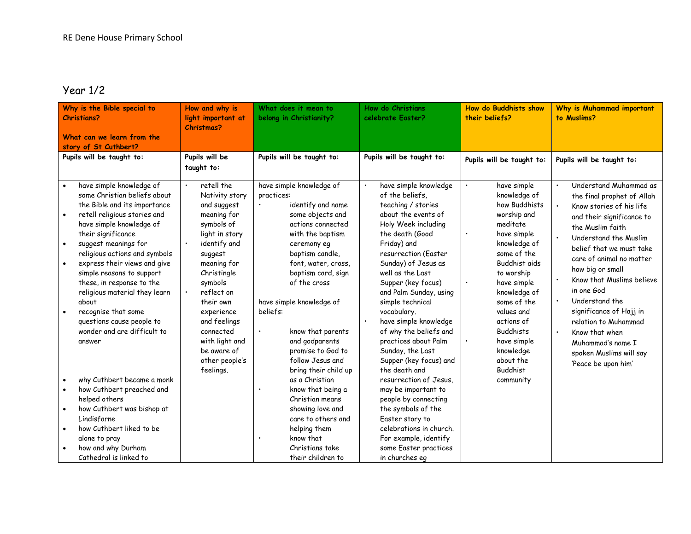### Year 1/2

| Why is the Bible special to<br><b>Christians?</b><br>What can we learn from the<br>story of St Cuthbert?                                                                                                                                                                                                                                                                                                                                                                                                                                                                                                                                                                                                                                                                              | How and why is<br>light important at<br>Christmas?                                                                                                                                                                                                                                                   | What does it mean to<br>belong in Christianity?                                                                                                                                                                                                                                                                                                                                                                                                                                                                                                               | <b>How do Christians</b><br>celebrate Easter?                                                                                                                                                                                                                                                                                                                                                                                                                                                                                                                                                                                                                                | <b>How do Buddhists show</b><br>their beliefs?                                                                                                                                                                                                                                                                                           | Why is Muhammad important<br>to Muslims?                                                                                                                                                                                                                                                                                                                                                                                                                                                          |
|---------------------------------------------------------------------------------------------------------------------------------------------------------------------------------------------------------------------------------------------------------------------------------------------------------------------------------------------------------------------------------------------------------------------------------------------------------------------------------------------------------------------------------------------------------------------------------------------------------------------------------------------------------------------------------------------------------------------------------------------------------------------------------------|------------------------------------------------------------------------------------------------------------------------------------------------------------------------------------------------------------------------------------------------------------------------------------------------------|---------------------------------------------------------------------------------------------------------------------------------------------------------------------------------------------------------------------------------------------------------------------------------------------------------------------------------------------------------------------------------------------------------------------------------------------------------------------------------------------------------------------------------------------------------------|------------------------------------------------------------------------------------------------------------------------------------------------------------------------------------------------------------------------------------------------------------------------------------------------------------------------------------------------------------------------------------------------------------------------------------------------------------------------------------------------------------------------------------------------------------------------------------------------------------------------------------------------------------------------------|------------------------------------------------------------------------------------------------------------------------------------------------------------------------------------------------------------------------------------------------------------------------------------------------------------------------------------------|---------------------------------------------------------------------------------------------------------------------------------------------------------------------------------------------------------------------------------------------------------------------------------------------------------------------------------------------------------------------------------------------------------------------------------------------------------------------------------------------------|
| Pupils will be taught to:                                                                                                                                                                                                                                                                                                                                                                                                                                                                                                                                                                                                                                                                                                                                                             | Pupils will be<br>taught to:                                                                                                                                                                                                                                                                         | Pupils will be taught to:                                                                                                                                                                                                                                                                                                                                                                                                                                                                                                                                     | Pupils will be taught to:                                                                                                                                                                                                                                                                                                                                                                                                                                                                                                                                                                                                                                                    | Pupils will be taught to:                                                                                                                                                                                                                                                                                                                | Pupils will be taught to:                                                                                                                                                                                                                                                                                                                                                                                                                                                                         |
| have simple knowledge of<br>$\bullet$<br>some Christian beliefs about<br>the Bible and its importance<br>retell religious stories and<br>$\bullet$<br>have simple knowledge of<br>their significance<br>suggest meanings for<br>$\bullet$<br>religious actions and symbols<br>express their views and give<br>$\bullet$<br>simple reasons to support<br>these, in response to the<br>religious material they learn<br>about<br>recognise that some<br>$\bullet$<br>questions cause people to<br>wonder and are difficult to<br>answer<br>why Cuthbert became a monk<br>how Cuthbert preached and<br>helped others<br>how Cuthbert was bishop at<br>$\bullet$<br>Lindisfarne<br>how Cuthbert liked to be<br>$\bullet$<br>alone to pray<br>how and why Durham<br>Cathedral is linked to | retell the<br>Nativity story<br>and suggest<br>meaning for<br>symbols of<br>light in story<br>identify and<br>suggest<br>meaning for<br>Christingle<br>symbols<br>reflect on<br>their own<br>experience<br>and feelings<br>connected<br>with light and<br>be aware of<br>other people's<br>feelings. | have simple knowledge of<br>practices:<br>identify and name<br>some objects and<br>actions connected<br>with the baptism<br>ceremony eq<br>baptism candle,<br>font, water, cross,<br>baptism card, sign<br>of the cross<br>have simple knowledge of<br>beliefs:<br>know that parents<br>$\bullet$<br>and godparents<br>promise to God to<br>follow Jesus and<br>bring their child up<br>as a Christian<br>know that being a<br>Christian means<br>showing love and<br>care to others and<br>helping them<br>know that<br>Christians take<br>their children to | have simple knowledge<br>$\bullet$<br>of the beliefs,<br>teaching / stories<br>about the events of<br>Holy Week including<br>the death (Good<br>Friday) and<br>resurrection (Easter<br>Sunday) of Jesus as<br>well as the Last<br>Supper (key focus)<br>and Palm Sunday, using<br>simple technical<br>vocabulary.<br>have simple knowledge<br>of why the beliefs and<br>practices about Palm<br>Sunday, the Last<br>Supper (key focus) and<br>the death and<br>resurrection of Jesus.<br>may be important to<br>people by connecting<br>the symbols of the<br>Easter story to<br>celebrations in church.<br>For example, identify<br>some Easter practices<br>in churches eq | have simple<br>knowledge of<br>how Buddhists<br>worship and<br>meditate<br>have simple<br>$\bullet$<br>knowledge of<br>some of the<br>Buddhist aids<br>to worship<br>have simple<br>knowledge of<br>some of the<br>values and<br>actions of<br><b>Buddhists</b><br>have simple<br>knowledge<br>about the<br><b>Buddhist</b><br>community | Understand Muhammad as<br>$\bullet$<br>the final prophet of Allah<br>Know stories of his life<br>and their significance to<br>the Muslim faith<br>Understand the Muslim<br>$\bullet$<br>belief that we must take<br>care of animal no matter<br>how big or small<br>Know that Muslims believe<br>in one God<br>Understand the<br>significance of Hajj in<br>relation to Muhammad<br>$\ddot{\phantom{a}}$<br>Know that when<br>Muhammad's name I<br>spoken Muslims will say<br>'Peace be upon him' |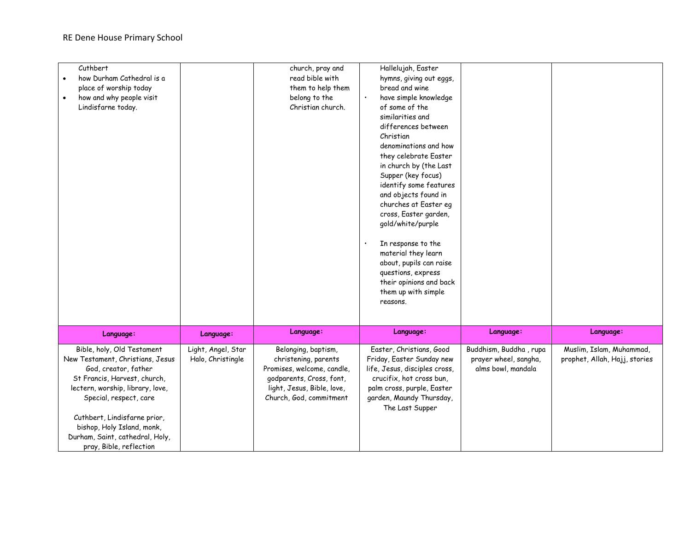| Cuthbert<br>Hallelujah, Easter<br>church, pray and                                                                                                                   |  |
|----------------------------------------------------------------------------------------------------------------------------------------------------------------------|--|
| how Durham Cathedral is a<br>read bible with<br>hymns, giving out eggs,                                                                                              |  |
| bread and wine<br>them to help them<br>place of worship today                                                                                                        |  |
| how and why people visit<br>have simple knowledge<br>belong to the<br>$\bullet$                                                                                      |  |
| Christian church.<br>of some of the<br>Lindisfarne today.                                                                                                            |  |
| similarities and                                                                                                                                                     |  |
| differences between                                                                                                                                                  |  |
| Christian                                                                                                                                                            |  |
| denominations and how                                                                                                                                                |  |
| they celebrate Easter                                                                                                                                                |  |
| in church by (the Last                                                                                                                                               |  |
| Supper (key focus)                                                                                                                                                   |  |
| identify some features                                                                                                                                               |  |
| and objects found in                                                                                                                                                 |  |
| churches at Easter eg                                                                                                                                                |  |
| cross, Easter garden,                                                                                                                                                |  |
| gold/white/purple                                                                                                                                                    |  |
|                                                                                                                                                                      |  |
| In response to the                                                                                                                                                   |  |
| material they learn                                                                                                                                                  |  |
| about, pupils can raise                                                                                                                                              |  |
| questions, express                                                                                                                                                   |  |
| their opinions and back                                                                                                                                              |  |
| them up with simple                                                                                                                                                  |  |
| reasons.                                                                                                                                                             |  |
|                                                                                                                                                                      |  |
| Language:<br>Language:<br>Language:<br>Language:<br>Language:<br>Language:                                                                                           |  |
| Light, Angel, Star<br>Buddhism, Buddha, rupa<br>Bible, holy, Old Testament<br>Belonging, baptism,<br>Easter, Christians, Good<br>Muslim, Islam, Muhammad,            |  |
| New Testament, Christians, Jesus<br>Halo, Christingle<br>Friday, Easter Sunday new<br>prayer wheel, sangha,<br>prophet, Allah, Hajj, stories<br>christening, parents |  |
| God, creator, father<br>Promises, welcome, candle,<br>life, Jesus, disciples cross,<br>alms bowl, mandala                                                            |  |
| St Francis, Harvest, church,<br>godparents, Cross, font,<br>crucifix, hot cross bun,                                                                                 |  |
| lectern, worship, library, love,<br>light, Jesus, Bible, love,<br>palm cross, purple, Easter                                                                         |  |
| Church, God, commitment<br>garden, Maundy Thursday,<br>Special, respect, care                                                                                        |  |
| The Last Supper                                                                                                                                                      |  |
| Cuthbert, Lindisfarne prior,                                                                                                                                         |  |
| bishop, Holy Island, monk,                                                                                                                                           |  |
| Durham, Saint, cathedral, Holy,                                                                                                                                      |  |
| pray, Bible, reflection                                                                                                                                              |  |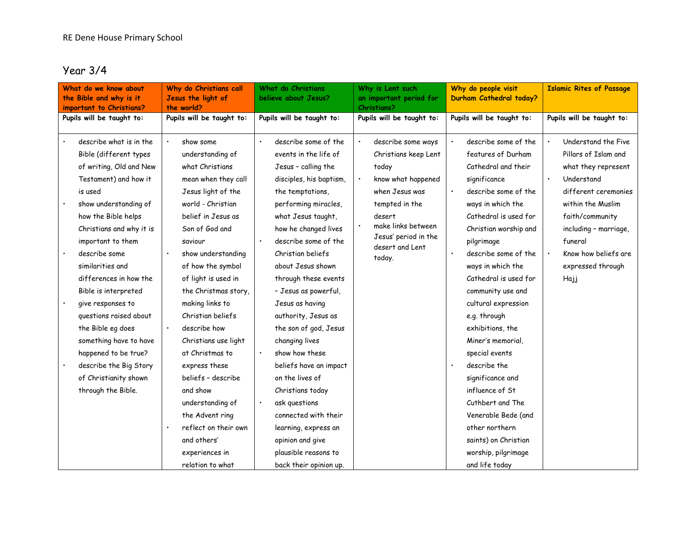### Year 3/4

| What do we know about<br>the Bible and why is it<br>important to Christians?                                                                                                                                                                                                                                                                                                                                                                                                                            | Why do Christians call<br>Jesus the light of<br>the world?                                                                                                                                                                                                                                                                                                                                                                                                                                          | What do Christians<br>believe about Jesus?                                                                                                                                                                                                                                                                                                                                                                                                                                                                                                                               | Why is Lent such<br>an important period for<br><b>Christians?</b>                                                                                                                                  | Why do people visit<br>Durham Cathedral today?                                                                                                                                                                                                                                                                                                                                                                                                                                                                                          | <b>Islamic Rites of Passage</b>                                                                                                                                                                                                           |
|---------------------------------------------------------------------------------------------------------------------------------------------------------------------------------------------------------------------------------------------------------------------------------------------------------------------------------------------------------------------------------------------------------------------------------------------------------------------------------------------------------|-----------------------------------------------------------------------------------------------------------------------------------------------------------------------------------------------------------------------------------------------------------------------------------------------------------------------------------------------------------------------------------------------------------------------------------------------------------------------------------------------------|--------------------------------------------------------------------------------------------------------------------------------------------------------------------------------------------------------------------------------------------------------------------------------------------------------------------------------------------------------------------------------------------------------------------------------------------------------------------------------------------------------------------------------------------------------------------------|----------------------------------------------------------------------------------------------------------------------------------------------------------------------------------------------------|-----------------------------------------------------------------------------------------------------------------------------------------------------------------------------------------------------------------------------------------------------------------------------------------------------------------------------------------------------------------------------------------------------------------------------------------------------------------------------------------------------------------------------------------|-------------------------------------------------------------------------------------------------------------------------------------------------------------------------------------------------------------------------------------------|
| Pupils will be taught to:                                                                                                                                                                                                                                                                                                                                                                                                                                                                               | Pupils will be taught to:                                                                                                                                                                                                                                                                                                                                                                                                                                                                           | Pupils will be taught to:                                                                                                                                                                                                                                                                                                                                                                                                                                                                                                                                                | Pupils will be taught to:                                                                                                                                                                          | Pupils will be taught to:                                                                                                                                                                                                                                                                                                                                                                                                                                                                                                               | Pupils will be taught to:                                                                                                                                                                                                                 |
| describe what is in the<br>Bible (different types<br>of writing, Old and New<br>Testament) and how it<br>is used<br>show understanding of<br>how the Bible helps<br>Christians and why it is<br>important to them<br>describe some<br>similarities and<br>differences in how the<br>Bible is interpreted<br>give responses to<br>questions raised about<br>the Bible eg does<br>something have to have<br>happened to be true?<br>describe the Big Story<br>of Christianity shown<br>through the Bible. | show some<br>understanding of<br>what Christians<br>mean when they call<br>Jesus light of the<br>world - Christian<br>belief in Jesus as<br>Son of God and<br>saviour<br>show understanding<br>of how the symbol<br>of light is used in<br>the Christmas story,<br>making links to<br>Christian beliefs<br>describe how<br>Christians use light<br>at Christmas to<br>express these<br>beliefs - describe<br>and show<br>understanding of<br>the Advent ring<br>reflect on their own<br>and others' | describe some of the<br>events in the life of<br>Jesus - calling the<br>disciples, his baptism,<br>the temptations,<br>performing miracles,<br>what Jesus taught,<br>how he changed lives<br>describe some of the<br>Christian beliefs<br>about Jesus shown<br>through these events<br>- Jesus as powerful,<br>Jesus as having<br>authority, Jesus as<br>the son of god, Jesus<br>changing lives<br>show how these<br>beliefs have an impact<br>on the lives of<br>Christians today<br>ask questions<br>connected with their<br>learning, express an<br>opinion and give | describe some ways<br>Christians keep Lent<br>today<br>know what happened<br>when Jesus was<br>tempted in the<br>desert<br>make links between<br>Jesus' period in the<br>desert and Lent<br>today. | describe some of the<br>features of Durham<br>Cathedral and their<br>significance<br>describe some of the<br>ways in which the<br>Cathedral is used for<br>Christian worship and<br>pilgrimage<br>describe some of the<br>ways in which the<br>Cathedral is used for<br>community use and<br>cultural expression<br>e.g. through<br>exhibitions, the<br>Miner's memorial,<br>special events<br>describe the<br>significance and<br>influence of St<br>Cuthbert and The<br>Venerable Bede (and<br>other northern<br>saints) on Christian | Understand the Five<br>Pillars of Islam and<br>what they represent<br>Understand<br>different ceremonies<br>within the Muslim<br>faith/community<br>including - marriage,<br>funeral<br>Know how beliefs are<br>expressed through<br>Hajj |
|                                                                                                                                                                                                                                                                                                                                                                                                                                                                                                         | experiences in<br>relation to what                                                                                                                                                                                                                                                                                                                                                                                                                                                                  | plausible reasons to<br>back their opinion up.                                                                                                                                                                                                                                                                                                                                                                                                                                                                                                                           |                                                                                                                                                                                                    | worship, pilgrimage<br>and life today                                                                                                                                                                                                                                                                                                                                                                                                                                                                                                   |                                                                                                                                                                                                                                           |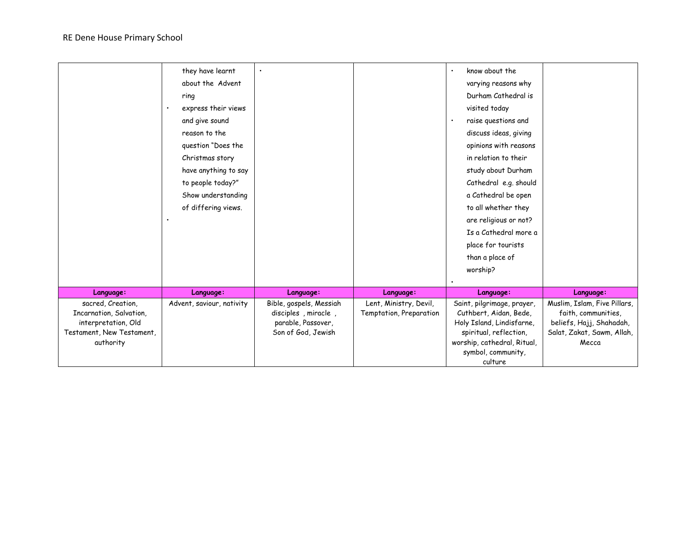|                           | they have learnt          |                         |                         | know about the              |                              |
|---------------------------|---------------------------|-------------------------|-------------------------|-----------------------------|------------------------------|
|                           | about the Advent          |                         |                         | varying reasons why         |                              |
|                           | ring                      |                         |                         | Durham Cathedral is         |                              |
|                           | express their views       |                         |                         | visited today               |                              |
|                           | and give sound            |                         |                         | raise questions and         |                              |
|                           | reason to the             |                         |                         | discuss ideas, giving       |                              |
|                           | question "Does the        |                         |                         | opinions with reasons       |                              |
|                           | Christmas story           |                         |                         | in relation to their        |                              |
|                           | have anything to say      |                         |                         | study about Durham          |                              |
|                           | to people today?"         |                         |                         | Cathedral e.g. should       |                              |
|                           | Show understanding        |                         |                         | a Cathedral be open         |                              |
|                           | of differing views.       |                         |                         | to all whether they         |                              |
|                           |                           |                         |                         | are religious or not?       |                              |
|                           |                           |                         |                         | Is a Cathedral more a       |                              |
|                           |                           |                         |                         | place for tourists          |                              |
|                           |                           |                         |                         | than a place of             |                              |
|                           |                           |                         |                         | worship?                    |                              |
|                           |                           |                         |                         |                             |                              |
| Language:                 | Language:                 | Language:               | Language:               | Language:                   | Language:                    |
| sacred, Creation,         | Advent, saviour, nativity | Bible, gospels, Messiah | Lent, Ministry, Devil,  | Saint, pilgrimage, prayer,  | Muslim, Islam, Five Pillars, |
| Incarnation, Salvation,   |                           | disciples, miracle,     | Temptation, Preparation | Cuthbert, Aidan, Bede,      | faith, communities,          |
| interpretation, Old       |                           | parable, Passover,      |                         | Holy Island, Lindisfarne,   | beliefs, Hajj, Shahadah,     |
| Testament, New Testament, |                           | Son of God, Jewish      |                         | spiritual, reflection,      | Salat, Zakat, Sawm, Allah,   |
| authority                 |                           |                         |                         | worship, cathedral, Ritual, | Mecca                        |
|                           |                           |                         |                         | symbol, community,          |                              |
|                           |                           |                         |                         | culture                     |                              |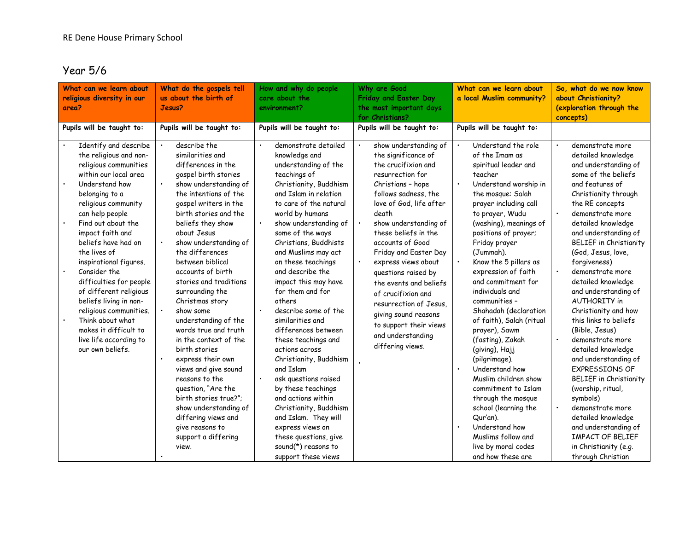### Year 5/6

| What can we learn about<br>religious diversity in our<br>area?                                                                                                                                                                                                                                                              | What do the gospels tell<br>us about the birth of<br>Jesus?                                                                                                                                                                                                                                                                                                                                                                                                                                                   | How and why do people<br>care about the<br>environment?                                                                                                                                                                                                                                                                                                                                                                                                                                                                                                          | Why are Good<br>Friday and Easter Day<br>the most important days<br>for Christians?                                                                                                                                                                                                                           | What can we learn about<br>a local Muslim community?                                                                                                                                                                                                                                                                                                                                                                                                                                                                                                         | So, what do we now know<br>about Christianity?<br>(exploration through the<br>concepts)                                                                                                                                                                                                                                                                                                                                                                                                                                                                                                            |
|-----------------------------------------------------------------------------------------------------------------------------------------------------------------------------------------------------------------------------------------------------------------------------------------------------------------------------|---------------------------------------------------------------------------------------------------------------------------------------------------------------------------------------------------------------------------------------------------------------------------------------------------------------------------------------------------------------------------------------------------------------------------------------------------------------------------------------------------------------|------------------------------------------------------------------------------------------------------------------------------------------------------------------------------------------------------------------------------------------------------------------------------------------------------------------------------------------------------------------------------------------------------------------------------------------------------------------------------------------------------------------------------------------------------------------|---------------------------------------------------------------------------------------------------------------------------------------------------------------------------------------------------------------------------------------------------------------------------------------------------------------|--------------------------------------------------------------------------------------------------------------------------------------------------------------------------------------------------------------------------------------------------------------------------------------------------------------------------------------------------------------------------------------------------------------------------------------------------------------------------------------------------------------------------------------------------------------|----------------------------------------------------------------------------------------------------------------------------------------------------------------------------------------------------------------------------------------------------------------------------------------------------------------------------------------------------------------------------------------------------------------------------------------------------------------------------------------------------------------------------------------------------------------------------------------------------|
| Pupils will be taught to:<br>Identify and describe<br>the religious and non-<br>religious communities<br>within our local area<br>Understand how<br>belonging to a<br>religious community<br>can help people                                                                                                                | Pupils will be taught to:<br>describe the<br>similarities and<br>differences in the<br>gospel birth stories<br>show understanding of<br>the intentions of the<br>gospel writers in the<br>birth stories and the                                                                                                                                                                                                                                                                                               | Pupils will be taught to:<br>demonstrate detailed<br>knowledge and<br>understanding of the<br>teachings of<br>Christianity, Buddhism<br>and Islam in relation<br>to care of the natural<br>world by humans                                                                                                                                                                                                                                                                                                                                                       | Pupils will be taught to:<br>show understanding of<br>the significance of<br>the crucifixion and<br>resurrection for<br>Christians - hope<br>follows sadness, the<br>love of God, life after<br>death                                                                                                         | Pupils will be taught to:<br>Understand the role<br>of the Imam as<br>spiritual leader and<br>teacher<br>Understand worship in<br>$\bullet$<br>the mosque: Salah<br>prayer including call<br>to prayer, Wudu                                                                                                                                                                                                                                                                                                                                                 | demonstrate more<br>detailed knowledge<br>and understanding of<br>some of the beliefs<br>and features of<br>Christianity through<br>the RE concepts<br>demonstrate more                                                                                                                                                                                                                                                                                                                                                                                                                            |
| Find out about the<br>impact faith and<br>beliefs have had on<br>the lives of<br>inspirational figures.<br>Consider the<br>difficulties for people<br>of different religious<br>beliefs living in non-<br>religious communities.<br>Think about what<br>makes it difficult to<br>live life according to<br>our own beliefs. | beliefs they show<br>about Jesus<br>show understanding of<br>the differences<br>between biblical<br>accounts of birth<br>stories and traditions<br>surrounding the<br>Christmas story<br>show some<br>understanding of the<br>words true and truth<br>in the context of the<br>birth stories<br>express their own<br>views and give sound<br>reasons to the<br>question, "Are the<br>birth stories true?":<br>show understanding of<br>differing views and<br>give reasons to<br>support a differing<br>view. | show understanding of<br>some of the ways<br>Christians, Buddhists<br>and Muslims may act<br>on these teachings<br>and describe the<br>impact this may have<br>for them and for<br>others<br>describe some of the<br>similarities and<br>differences between<br>these teachings and<br>actions across<br>Christianity, Buddhism<br>and Islam<br>ask questions raised<br>by these teachings<br>and actions within<br>Christianity, Buddhism<br>and Islam. They will<br>express views on<br>these questions, give<br>sound $(*)$ reasons to<br>support these views | show understanding of<br>these beliefs in the<br>accounts of Good<br>Friday and Easter Day<br>express views about<br>questions raised by<br>the events and beliefs<br>of crucifixion and<br>resurrection of Jesus.<br>giving sound reasons<br>to support their views<br>and understanding<br>differing views. | (washing), meanings of<br>positions of prayer;<br>Friday prayer<br>(Jummah).<br>Know the 5 pillars as<br>$\bullet$<br>expression of faith<br>and commitment for<br>individuals and<br>communities -<br>Shahadah (declaration<br>of faith), Salah (ritual<br>prayer), Sawm<br>(fasting), Zakah<br>(giving), Hajj<br>(pilgrimage).<br>Understand how<br>$\bullet$<br>Muslim children show<br>commitment to Islam<br>through the mosque<br>school (learning the<br>Qur'an).<br>Understand how<br>Muslims follow and<br>live by moral codes<br>and how these are | detailed knowledge<br>and understanding of<br><b>BELIEF</b> in Christianity<br>(God, Jesus, love,<br>forgiveness)<br>demonstrate more<br>detailed knowledge<br>and understanding of<br><b>AUTHORITY</b> in<br>Christianity and how<br>this links to beliefs<br>(Bible, Jesus)<br>$\bullet$<br>demonstrate more<br>detailed knowledge<br>and understanding of<br><b>EXPRESSIONS OF</b><br><b>BELIEF</b> in Christianity<br>(worship, ritual,<br>symbols)<br>demonstrate more<br>detailed knowledge<br>and understanding of<br><b>IMPACT OF BELIEF</b><br>in Christianity (e.g.<br>through Christian |